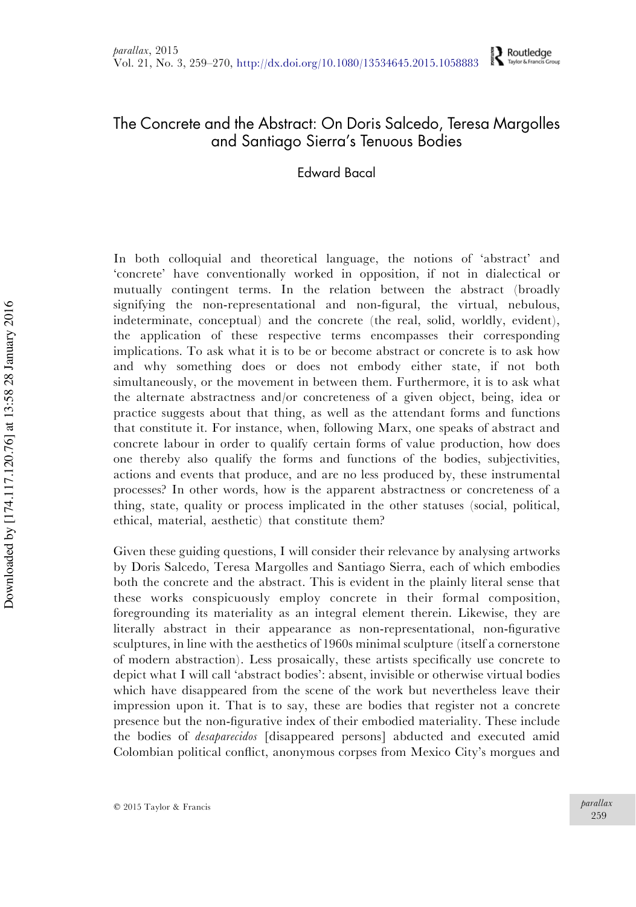# The Concrete and the Abstract: On Doris Salcedo, Teresa Margolles and Santiago Sierra's Tenuous Bodies

# Edward Bacal

In both colloquial and theoretical language, the notions of 'abstract' and 'concrete' have conventionally worked in opposition, if not in dialectical or mutually contingent terms. In the relation between the abstract (broadly signifying the non-representational and non-figural, the virtual, nebulous, indeterminate, conceptual) and the concrete (the real, solid, worldly, evident), the application of these respective terms encompasses their corresponding implications. To ask what it is to be or become abstract or concrete is to ask how and why something does or does not embody either state, if not both simultaneously, or the movement in between them. Furthermore, it is to ask what the alternate abstractness and/or concreteness of a given object, being, idea or practice suggests about that thing, as well as the attendant forms and functions that constitute it. For instance, when, following Marx, one speaks of abstract and concrete labour in order to qualify certain forms of value production, how does one thereby also qualify the forms and functions of the bodies, subjectivities, actions and events that produce, and are no less produced by, these instrumental processes? In other words, how is the apparent abstractness or concreteness of a thing, state, quality or process implicated in the other statuses (social, political, ethical, material, aesthetic) that constitute them?

Given these guiding questions, I will consider their relevance by analysing artworks by Doris Salcedo, Teresa Margolles and Santiago Sierra, each of which embodies both the concrete and the abstract. This is evident in the plainly literal sense that these works conspicuously employ concrete in their formal composition, foregrounding its materiality as an integral element therein. Likewise, they are literally abstract in their appearance as non-representational, non-figurative sculptures, in line with the aesthetics of 1960s minimal sculpture (itself a cornerstone of modern abstraction). Less prosaically, these artists specifically use concrete to depict what I will call 'abstract bodies': absent, invisible or otherwise virtual bodies which have disappeared from the scene of the work but nevertheless leave their impression upon it. That is to say, these are bodies that register not a concrete presence but the non-figurative index of their embodied materiality. These include the bodies of desaparecidos [disappeared persons] abducted and executed amid Colombian political conflict, anonymous corpses from Mexico City's morgues and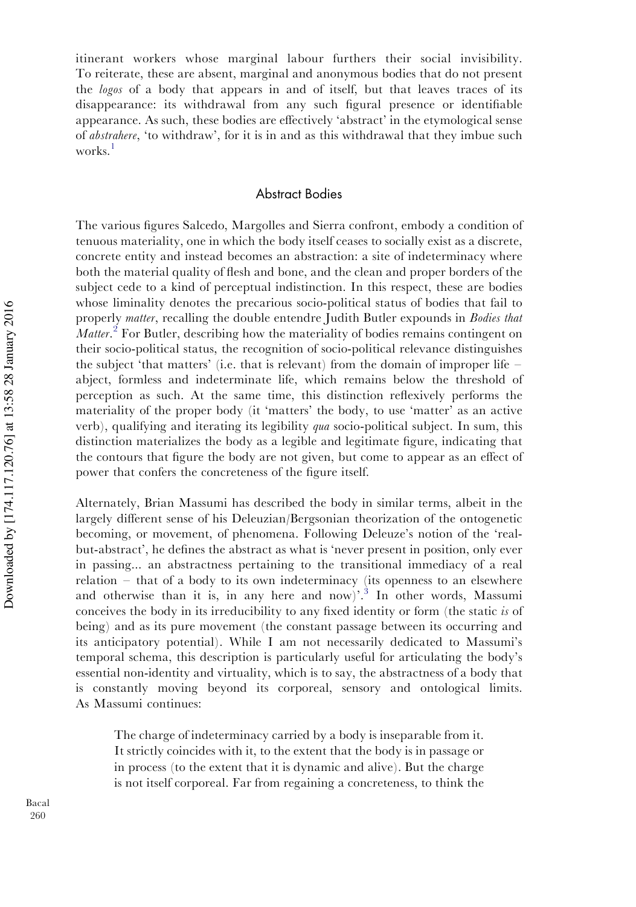itinerant workers whose marginal labour furthers their social invisibility. To reiterate, these are absent, marginal and anonymous bodies that do not present the logos of a body that appears in and of itself, but that leaves traces of its disappearance: its withdrawal from any such figural presence or identifiable appearance. As such, these bodies are effectively 'abstract' in the etymological sense of abstrahere, 'to withdraw', for it is in and as this withdrawal that they imbue such works.<sup>[1](#page-10-0)</sup>

# Abstract Bodies

The various figures Salcedo, Margolles and Sierra confront, embody a condition of tenuous materiality, one in which the body itself ceases to socially exist as a discrete, concrete entity and instead becomes an abstraction: a site of indeterminacy where both the material quality of flesh and bone, and the clean and proper borders of the subject cede to a kind of perceptual indistinction. In this respect, these are bodies whose liminality denotes the precarious socio-political status of bodies that fail to properly matter, recalling the double entendre Judith Butler expounds in Bodies that *Matter.*<sup>[2](#page-10-0)</sup> For Butler, describing how the materiality of bodies remains contingent on their socio-political status, the recognition of socio-political relevance distinguishes the subject 'that matters' (i.e. that is relevant) from the domain of improper life  $$ abject, formless and indeterminate life, which remains below the threshold of perception as such. At the same time, this distinction reflexively performs the materiality of the proper body (it 'matters' the body, to use 'matter' as an active verb), qualifying and iterating its legibility qua socio-political subject. In sum, this distinction materializes the body as a legible and legitimate figure, indicating that the contours that figure the body are not given, but come to appear as an effect of power that confers the concreteness of the figure itself.

Alternately, Brian Massumi has described the body in similar terms, albeit in the largely different sense of his Deleuzian/Bergsonian theorization of the ontogenetic becoming, or movement, of phenomena. Following Deleuze's notion of the 'realbut-abstract', he defines the abstract as what is 'never present in position, only ever in passing... an abstractness pertaining to the transitional immediacy of a real relation – that of a body to its own indeterminacy (its openness to an elsewhere and otherwise than it is, in any here and now)<sup>[3](#page-10-0)</sup>. In other words, Massumi conceives the body in its irreducibility to any fixed identity or form (the static is of being) and as its pure movement (the constant passage between its occurring and its anticipatory potential). While I am not necessarily dedicated to Massumi's temporal schema, this description is particularly useful for articulating the body's essential non-identity and virtuality, which is to say, the abstractness of a body that is constantly moving beyond its corporeal, sensory and ontological limits. As Massumi continues:

The charge of indeterminacy carried by a body is inseparable from it. It strictly coincides with it, to the extent that the body is in passage or in process (to the extent that it is dynamic and alive). But the charge is not itself corporeal. Far from regaining a concreteness, to think the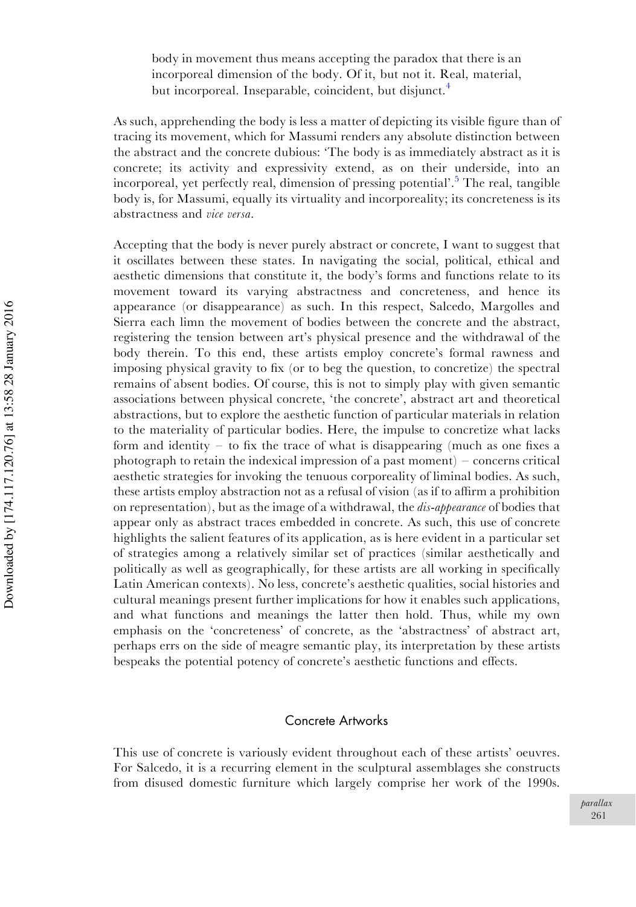body in movement thus means accepting the paradox that there is an incorporeal dimension of the body. Of it, but not it. Real, material, but incorporeal. Inseparable, coincident, but disjunct.<sup>[4](#page-10-0)</sup>

As such, apprehending the body is less a matter of depicting its visible figure than of tracing its movement, which for Massumi renders any absolute distinction between the abstract and the concrete dubious: 'The body is as immediately abstract as it is concrete; its activity and expressivity extend, as on their underside, into an incorporeal, yet perfectly real, dimension of pressing potential'.<sup>[5](#page-10-0)</sup> The real, tangible body is, for Massumi, equally its virtuality and incorporeality; its concreteness is its abstractness and vice versa.

Accepting that the body is never purely abstract or concrete, I want to suggest that it oscillates between these states. In navigating the social, political, ethical and aesthetic dimensions that constitute it, the body's forms and functions relate to its movement toward its varying abstractness and concreteness, and hence its appearance (or disappearance) as such. In this respect, Salcedo, Margolles and Sierra each limn the movement of bodies between the concrete and the abstract, registering the tension between art's physical presence and the withdrawal of the body therein. To this end, these artists employ concrete's formal rawness and imposing physical gravity to fix (or to beg the question, to concretize) the spectral remains of absent bodies. Of course, this is not to simply play with given semantic associations between physical concrete, 'the concrete', abstract art and theoretical abstractions, but to explore the aesthetic function of particular materials in relation to the materiality of particular bodies. Here, the impulse to concretize what lacks form and identity – to fix the trace of what is disappearing (much as one fixes a photograph to retain the indexical impression of a past moment) – concerns critical aesthetic strategies for invoking the tenuous corporeality of liminal bodies. As such, these artists employ abstraction not as a refusal of vision (as if to affirm a prohibition on representation), but as the image of a withdrawal, the dis-appearance of bodies that appear only as abstract traces embedded in concrete. As such, this use of concrete highlights the salient features of its application, as is here evident in a particular set of strategies among a relatively similar set of practices (similar aesthetically and politically as well as geographically, for these artists are all working in specifically Latin American contexts). No less, concrete's aesthetic qualities, social histories and cultural meanings present further implications for how it enables such applications, and what functions and meanings the latter then hold. Thus, while my own emphasis on the 'concreteness' of concrete, as the 'abstractness' of abstract art, perhaps errs on the side of meagre semantic play, its interpretation by these artists bespeaks the potential potency of concrete's aesthetic functions and effects.

## Concrete Artworks

This use of concrete is variously evident throughout each of these artists' oeuvres. For Salcedo, it is a recurring element in the sculptural assemblages she constructs from disused domestic furniture which largely comprise her work of the 1990s.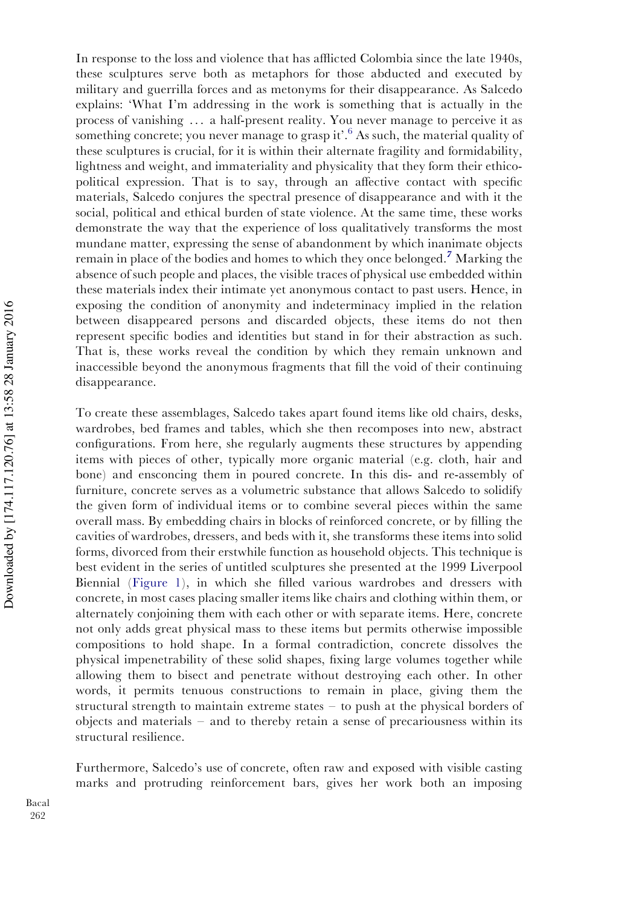In response to the loss and violence that has afflicted Colombia since the late 1940s, these sculptures serve both as metaphors for those abducted and executed by military and guerrilla forces and as metonyms for their disappearance. As Salcedo explains: 'What I'm addressing in the work is something that is actually in the process of vanishing ... a half-present reality. You never manage to perceive it as something concrete; you never manage to grasp it.<sup>[6](#page-10-0)</sup> As such, the material quality of these sculptures is crucial, for it is within their alternate fragility and formidability, lightness and weight, and immateriality and physicality that they form their ethicopolitical expression. That is to say, through an affective contact with specific materials, Salcedo conjures the spectral presence of disappearance and with it the social, political and ethical burden of state violence. At the same time, these works demonstrate the way that the experience of loss qualitatively transforms the most mundane matter, expressing the sense of abandonment by which inanimate objects remain in place of the bodies and homes to which they once belonged.[7](#page-10-0) Marking the absence of such people and places, the visible traces of physical use embedded within these materials index their intimate yet anonymous contact to past users. Hence, in exposing the condition of anonymity and indeterminacy implied in the relation between disappeared persons and discarded objects, these items do not then represent specific bodies and identities but stand in for their abstraction as such. That is, these works reveal the condition by which they remain unknown and inaccessible beyond the anonymous fragments that fill the void of their continuing disappearance.

To create these assemblages, Salcedo takes apart found items like old chairs, desks, wardrobes, bed frames and tables, which she then recomposes into new, abstract configurations. From here, she regularly augments these structures by appending items with pieces of other, typically more organic material (e.g. cloth, hair and bone) and ensconcing them in poured concrete. In this dis- and re-assembly of furniture, concrete serves as a volumetric substance that allows Salcedo to solidify the given form of individual items or to combine several pieces within the same overall mass. By embedding chairs in blocks of reinforced concrete, or by filling the cavities of wardrobes, dressers, and beds with it, she transforms these items into solid forms, divorced from their erstwhile function as household objects. This technique is best evident in the series of untitled sculptures she presented at the 1999 Liverpool Biennial ([Figure 1\)](#page-4-0), in which she filled various wardrobes and dressers with concrete, in most cases placing smaller items like chairs and clothing within them, or alternately conjoining them with each other or with separate items. Here, concrete not only adds great physical mass to these items but permits otherwise impossible compositions to hold shape. In a formal contradiction, concrete dissolves the physical impenetrability of these solid shapes, fixing large volumes together while allowing them to bisect and penetrate without destroying each other. In other words, it permits tenuous constructions to remain in place, giving them the structural strength to maintain extreme states – to push at the physical borders of objects and materials – and to thereby retain a sense of precariousness within its structural resilience.

Furthermore, Salcedo's use of concrete, often raw and exposed with visible casting marks and protruding reinforcement bars, gives her work both an imposing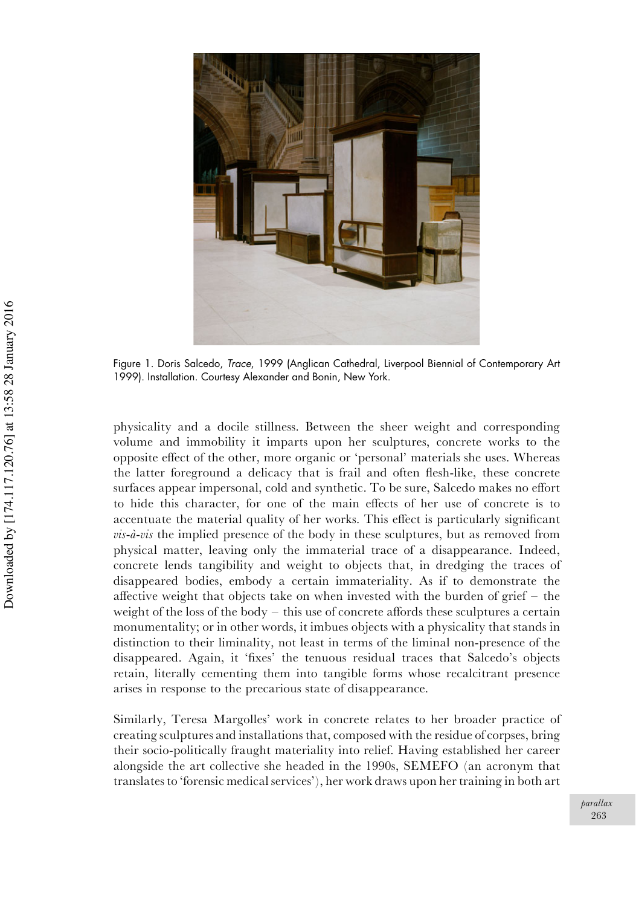<span id="page-4-0"></span>

Figure 1. Doris Salcedo, Trace, 1999 (Anglican Cathedral, Liverpool Biennial of Contemporary Art 1999). Installation. Courtesy Alexander and Bonin, New York.

physicality and a docile stillness. Between the sheer weight and corresponding volume and immobility it imparts upon her sculptures, concrete works to the opposite effect of the other, more organic or 'personal' materials she uses. Whereas the latter foreground a delicacy that is frail and often flesh-like, these concrete surfaces appear impersonal, cold and synthetic. To be sure, Salcedo makes no effort to hide this character, for one of the main effects of her use of concrete is to accentuate the material quality of her works. This effect is particularly significant  $vis-\hat{a}-vis$  the implied presence of the body in these sculptures, but as removed from physical matter, leaving only the immaterial trace of a disappearance. Indeed, concrete lends tangibility and weight to objects that, in dredging the traces of disappeared bodies, embody a certain immateriality. As if to demonstrate the affective weight that objects take on when invested with the burden of grief  $-$  the weight of the loss of the body – this use of concrete affords these sculptures a certain monumentality; or in other words, it imbues objects with a physicality that stands in distinction to their liminality, not least in terms of the liminal non-presence of the disappeared. Again, it 'fixes' the tenuous residual traces that Salcedo's objects retain, literally cementing them into tangible forms whose recalcitrant presence arises in response to the precarious state of disappearance.

Similarly, Teresa Margolles' work in concrete relates to her broader practice of creating sculptures and installations that, composed with the residue of corpses, bring their socio-politically fraught materiality into relief. Having established her career alongside the art collective she headed in the 1990s, SEMEFO (an acronym that translates to 'forensic medical services'), her work draws upon her training in both art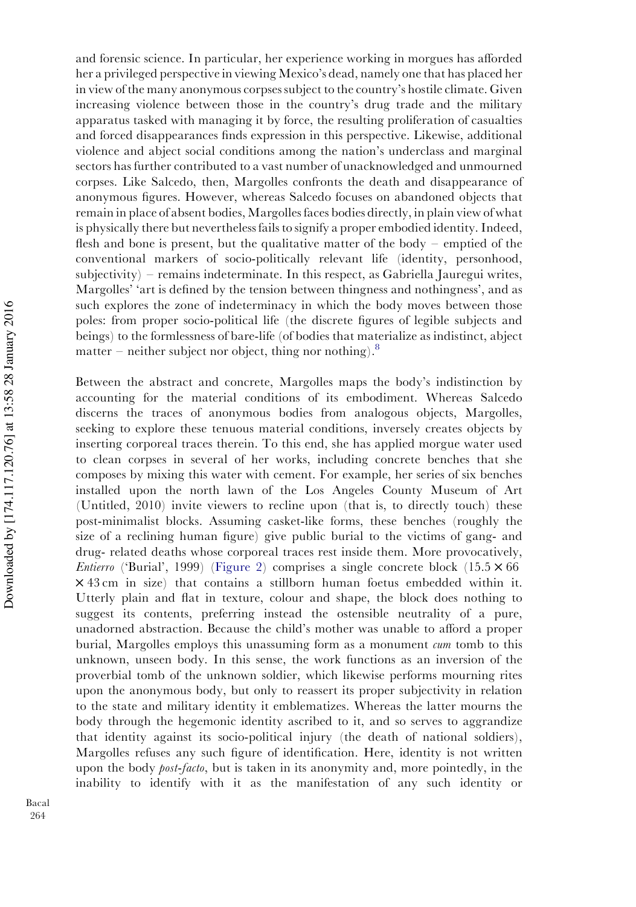and forensic science. In particular, her experience working in morgues has afforded her a privileged perspective in viewingMexico's dead, namely one that has placed her in view of the many anonymous corpses subject to the country's hostile climate. Given increasing violence between those in the country's drug trade and the military apparatus tasked with managing it by force, the resulting proliferation of casualties and forced disappearances finds expression in this perspective. Likewise, additional violence and abject social conditions among the nation's underclass and marginal sectors has further contributed to a vast number of unacknowledged and unmourned corpses. Like Salcedo, then, Margolles confronts the death and disappearance of anonymous figures. However, whereas Salcedo focuses on abandoned objects that remain in place of absent bodies,Margolles faces bodies directly, in plain view of what is physically there but nevertheless fails to signify a proper embodied identity. Indeed, flesh and bone is present, but the qualitative matter of the body – emptied of the conventional markers of socio-politically relevant life (identity, personhood,  $subjectivity$  – remains indeterminate. In this respect, as Gabriella Jauregui writes, Margolles' 'art is defined by the tension between thingness and nothingness', and as such explores the zone of indeterminacy in which the body moves between those poles: from proper socio-political life (the discrete figures of legible subjects and beings) to the formlessness of bare-life (of bodies that materialize as indistinct, abject matter – neither subject nor object, thing nor nothing). $8$ 

Between the abstract and concrete, Margolles maps the body's indistinction by accounting for the material conditions of its embodiment. Whereas Salcedo discerns the traces of anonymous bodies from analogous objects, Margolles, seeking to explore these tenuous material conditions, inversely creates objects by inserting corporeal traces therein. To this end, she has applied morgue water used to clean corpses in several of her works, including concrete benches that she composes by mixing this water with cement. For example, her series of six benches installed upon the north lawn of the Los Angeles County Museum of Art (Untitled, 2010) invite viewers to recline upon (that is, to directly touch) these post-minimalist blocks. Assuming casket-like forms, these benches (roughly the size of a reclining human figure) give public burial to the victims of gang- and drug- related deaths whose corporeal traces rest inside them. More provocatively, *Entierro* ('Burial', 1999) ([Figure 2](#page-6-0)) comprises a single concrete block (15.5  $\times$  66 £ 43 cm in size) that contains a stillborn human foetus embedded within it. Utterly plain and flat in texture, colour and shape, the block does nothing to suggest its contents, preferring instead the ostensible neutrality of a pure, unadorned abstraction. Because the child's mother was unable to afford a proper burial, Margolles employs this unassuming form as a monument cum tomb to this unknown, unseen body. In this sense, the work functions as an inversion of the proverbial tomb of the unknown soldier, which likewise performs mourning rites upon the anonymous body, but only to reassert its proper subjectivity in relation to the state and military identity it emblematizes. Whereas the latter mourns the body through the hegemonic identity ascribed to it, and so serves to aggrandize that identity against its socio-political injury (the death of national soldiers), Margolles refuses any such figure of identification. Here, identity is not written upon the body *post-facto*, but is taken in its anonymity and, more pointedly, in the inability to identify with it as the manifestation of any such identity or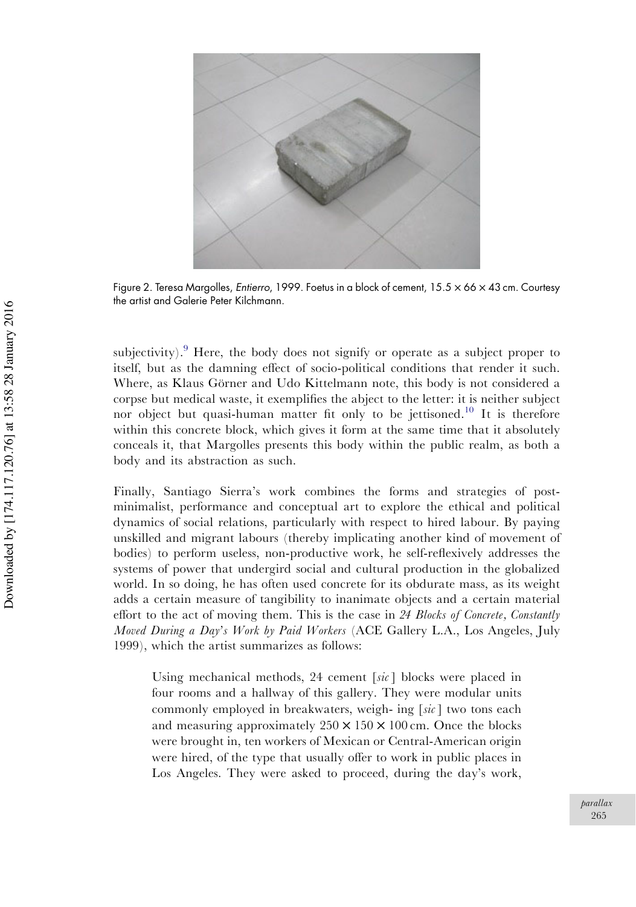<span id="page-6-0"></span>

Figure 2. Teresa Margolles, Entierro, 1999. Foetus in a block of cement,  $15.5 \times 66 \times 43$  cm. Courtesy the artist and Galerie Peter Kilchmann.

subjectivity).<sup>9</sup> Here, the body does not signify or operate as a subject proper to itself, but as the damning effect of socio-political conditions that render it such. Where, as Klaus Görner and Udo Kittelmann note, this body is not considered a corpse but medical waste, it exemplifies the abject to the letter: it is neither subject nor object but quasi-human matter fit only to be jettisoned.<sup>10</sup> It is therefore within this concrete block, which gives it form at the same time that it absolutely conceals it, that Margolles presents this body within the public realm, as both a body and its abstraction as such.

Finally, Santiago Sierra's work combines the forms and strategies of postminimalist, performance and conceptual art to explore the ethical and political dynamics of social relations, particularly with respect to hired labour. By paying unskilled and migrant labours (thereby implicating another kind of movement of bodies) to perform useless, non-productive work, he self-reflexively addresses the systems of power that undergird social and cultural production in the globalized world. In so doing, he has often used concrete for its obdurate mass, as its weight adds a certain measure of tangibility to inanimate objects and a certain material effort to the act of moving them. This is the case in 24 Blocks of Concrete, Constantly Moved During a Day's Work by Paid Workers (ACE Gallery L.A., Los Angeles, July 1999), which the artist summarizes as follows:

Using mechanical methods, 24 cement  $[s\omega]$  blocks were placed in four rooms and a hallway of this gallery. They were modular units commonly employed in breakwaters, weigh- ing  $[sic]$  two tons each and measuring approximately  $250 \times 150 \times 100$  cm. Once the blocks were brought in, ten workers of Mexican or Central-American origin were hired, of the type that usually offer to work in public places in Los Angeles. They were asked to proceed, during the day's work,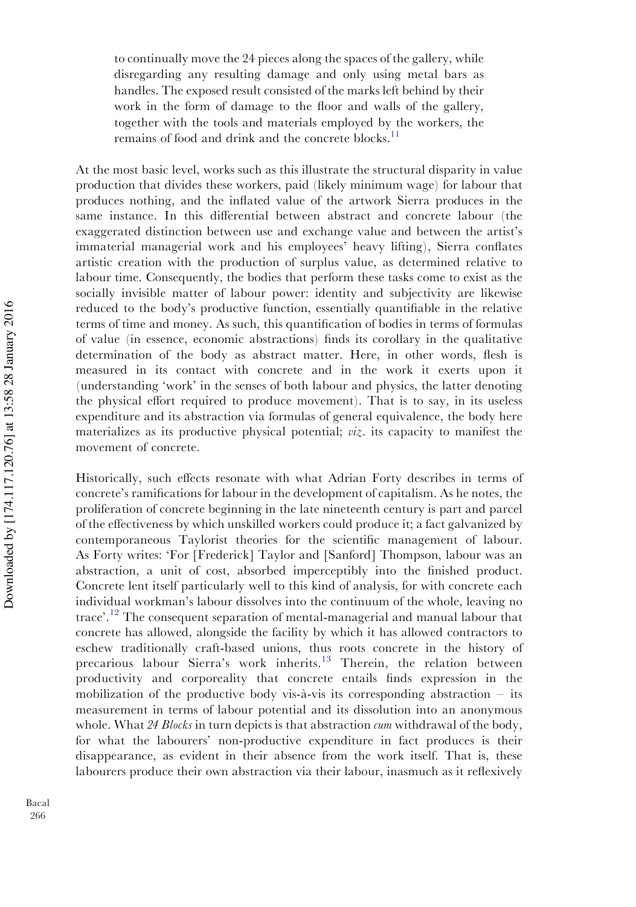to continually move the 24 pieces along the spaces of the gallery, while disregarding any resulting damage and only using metal bars as handles. The exposed result consisted of the marks left behind by their work in the form of damage to the floor and walls of the gallery, together with the tools and materials employed by the workers, the remains of food and drink and the concrete blocks.<sup>[11](#page-10-0)</sup>

At the most basic level, works such as this illustrate the structural disparity in value production that divides these workers, paid (likely minimum wage) for labour that produces nothing, and the inflated value of the artwork Sierra produces in the same instance. In this differential between abstract and concrete labour (the exaggerated distinction between use and exchange value and between the artist's immaterial managerial work and his employees' heavy lifting), Sierra conflates artistic creation with the production of surplus value, as determined relative to labour time. Consequently, the bodies that perform these tasks come to exist as the socially invisible matter of labour power: identity and subjectivity are likewise reduced to the body's productive function, essentially quantifiable in the relative terms of time and money. As such, this quantification of bodies in terms of formulas of value (in essence, economic abstractions) finds its corollary in the qualitative determination of the body as abstract matter. Here, in other words, flesh is measured in its contact with concrete and in the work it exerts upon it (understanding 'work' in the senses of both labour and physics, the latter denoting the physical effort required to produce movement). That is to say, in its useless expenditure and its abstraction via formulas of general equivalence, the body here materializes as its productive physical potential; viz. its capacity to manifest the movement of concrete.

Historically, such effects resonate with what Adrian Forty describes in terms of concrete's ramifications for labour in the development of capitalism. As he notes, the proliferation of concrete beginning in the late nineteenth century is part and parcel of the effectiveness by which unskilled workers could produce it; a fact galvanized by contemporaneous Taylorist theories for the scientific management of labour. As Forty writes: 'For [Frederick] Taylor and [Sanford] Thompson, labour was an abstraction, a unit of cost, absorbed imperceptibly into the finished product. Concrete lent itself particularly well to this kind of analysis, for with concrete each individual workman's labour dissolves into the continuum of the whole, leaving no trace'.<sup>[12](#page-10-0)</sup> The consequent separation of mental-managerial and manual labour that concrete has allowed, alongside the facility by which it has allowed contractors to eschew traditionally craft-based unions, thus roots concrete in the history of precarious labour Sierra's work inherits.<sup>[13](#page-10-0)</sup> Therein, the relation between productivity and corporeality that concrete entails finds expression in the mobilization of the productive body vis- $\lambda$ -vis its corresponding abstraction – its measurement in terms of labour potential and its dissolution into an anonymous whole. What 24 Blocks in turn depicts is that abstraction cum withdrawal of the body, for what the labourers' non-productive expenditure in fact produces is their disappearance, as evident in their absence from the work itself. That is, these labourers produce their own abstraction via their labour, inasmuch as it reflexively

Bacal 266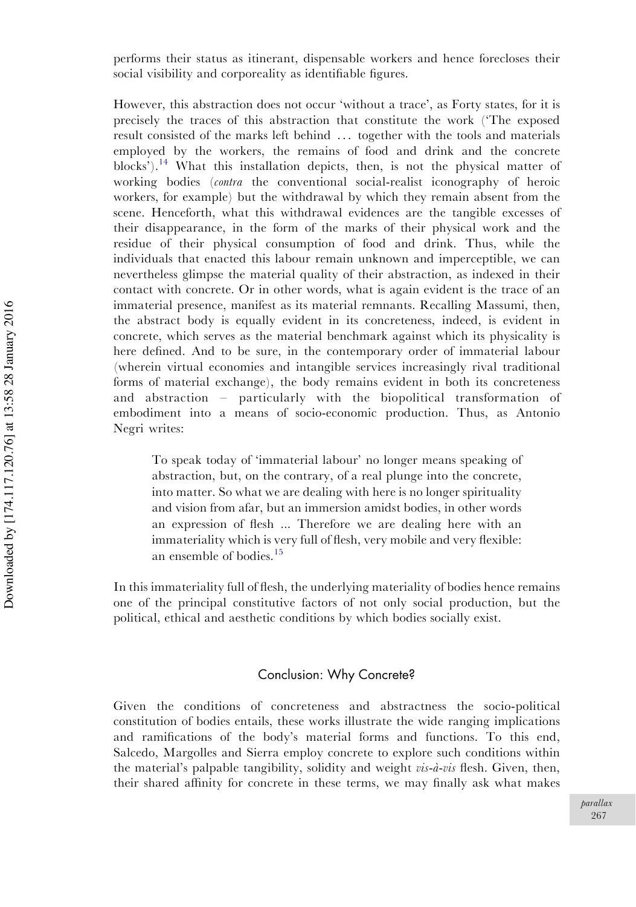performs their status as itinerant, dispensable workers and hence forecloses their social visibility and corporeality as identifiable figures.

However, this abstraction does not occur 'without a trace', as Forty states, for it is precisely the traces of this abstraction that constitute the work ('The exposed result consisted of the marks left behind ... together with the tools and materials employed by the workers, the remains of food and drink and the concrete blocks').<sup>[14](#page-10-0)</sup> What this installation depicts, then, is not the physical matter of working bodies (contra the conventional social-realist iconography of heroic workers, for example) but the withdrawal by which they remain absent from the scene. Henceforth, what this withdrawal evidences are the tangible excesses of their disappearance, in the form of the marks of their physical work and the residue of their physical consumption of food and drink. Thus, while the individuals that enacted this labour remain unknown and imperceptible, we can nevertheless glimpse the material quality of their abstraction, as indexed in their contact with concrete. Or in other words, what is again evident is the trace of an immaterial presence, manifest as its material remnants. Recalling Massumi, then, the abstract body is equally evident in its concreteness, indeed, is evident in concrete, which serves as the material benchmark against which its physicality is here defined. And to be sure, in the contemporary order of immaterial labour (wherein virtual economies and intangible services increasingly rival traditional forms of material exchange), the body remains evident in both its concreteness and abstraction – particularly with the biopolitical transformation of embodiment into a means of socio-economic production. Thus, as Antonio Negri writes:

To speak today of 'immaterial labour' no longer means speaking of abstraction, but, on the contrary, of a real plunge into the concrete, into matter. So what we are dealing with here is no longer spirituality and vision from afar, but an immersion amidst bodies, in other words an expression of flesh ... Therefore we are dealing here with an immateriality which is very full of flesh, very mobile and very flexible: an ensemble of bodies.[15](#page-10-0)

In this immateriality full of flesh, the underlying materiality of bodies hence remains one of the principal constitutive factors of not only social production, but the political, ethical and aesthetic conditions by which bodies socially exist.

### Conclusion: Why Concrete?

Given the conditions of concreteness and abstractness the socio-political constitution of bodies entails, these works illustrate the wide ranging implications and ramifications of the body's material forms and functions. To this end, Salcedo, Margolles and Sierra employ concrete to explore such conditions within the material's palpable tangibility, solidity and weight  $vis-\hat{a}-vis$  flesh. Given, then, their shared affinity for concrete in these terms, we may finally ask what makes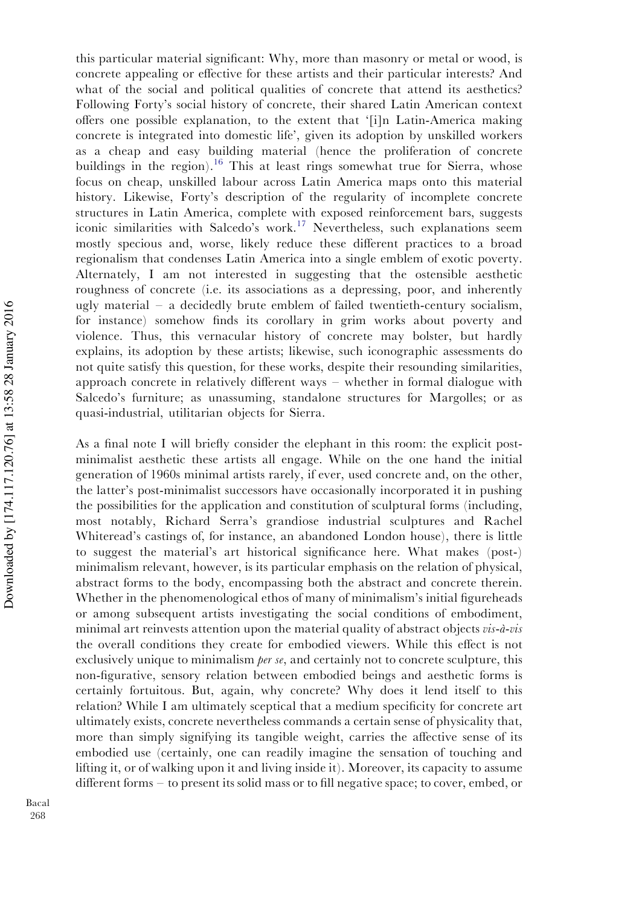this particular material significant: Why, more than masonry or metal or wood, is concrete appealing or effective for these artists and their particular interests? And what of the social and political qualities of concrete that attend its aesthetics? Following Forty's social history of concrete, their shared Latin American context offers one possible explanation, to the extent that '[i]n Latin-America making concrete is integrated into domestic life', given its adoption by unskilled workers as a cheap and easy building material (hence the proliferation of concrete buildings in the region).<sup>[16](#page-10-0)</sup> This at least rings somewhat true for Sierra, whose focus on cheap, unskilled labour across Latin America maps onto this material history. Likewise, Forty's description of the regularity of incomplete concrete structures in Latin America, complete with exposed reinforcement bars, suggests iconic similarities with Salcedo's work.<sup>[17](#page-10-0)</sup> Nevertheless, such explanations seem mostly specious and, worse, likely reduce these different practices to a broad regionalism that condenses Latin America into a single emblem of exotic poverty. Alternately, I am not interested in suggesting that the ostensible aesthetic roughness of concrete (i.e. its associations as a depressing, poor, and inherently ugly material – a decidedly brute emblem of failed twentieth-century socialism, for instance) somehow finds its corollary in grim works about poverty and violence. Thus, this vernacular history of concrete may bolster, but hardly explains, its adoption by these artists; likewise, such iconographic assessments do not quite satisfy this question, for these works, despite their resounding similarities, approach concrete in relatively different ways – whether in formal dialogue with Salcedo's furniture; as unassuming, standalone structures for Margolles; or as quasi-industrial, utilitarian objects for Sierra.

As a final note I will briefly consider the elephant in this room: the explicit postminimalist aesthetic these artists all engage. While on the one hand the initial generation of 1960s minimal artists rarely, if ever, used concrete and, on the other, the latter's post-minimalist successors have occasionally incorporated it in pushing the possibilities for the application and constitution of sculptural forms (including, most notably, Richard Serra's grandiose industrial sculptures and Rachel Whiteread's castings of, for instance, an abandoned London house), there is little to suggest the material's art historical significance here. What makes (post-) minimalism relevant, however, is its particular emphasis on the relation of physical, abstract forms to the body, encompassing both the abstract and concrete therein. Whether in the phenomenological ethos of many of minimalism's initial figureheads or among subsequent artists investigating the social conditions of embodiment, minimal art reinvests attention upon the material quality of abstract objects vis-à-vis the overall conditions they create for embodied viewers. While this effect is not exclusively unique to minimalism *per se*, and certainly not to concrete sculpture, this non-figurative, sensory relation between embodied beings and aesthetic forms is certainly fortuitous. But, again, why concrete? Why does it lend itself to this relation? While I am ultimately sceptical that a medium specificity for concrete art ultimately exists, concrete nevertheless commands a certain sense of physicality that, more than simply signifying its tangible weight, carries the affective sense of its embodied use (certainly, one can readily imagine the sensation of touching and lifting it, or of walking upon it and living inside it). Moreover, its capacity to assume different forms – to present its solid mass or to fill negative space; to cover, embed, or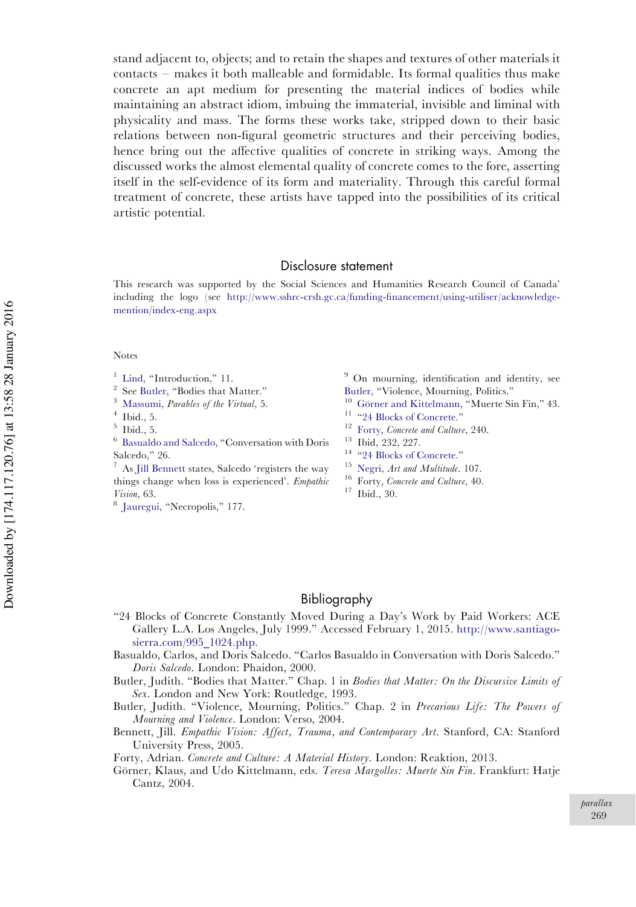<span id="page-10-0"></span>stand adjacent to, objects; and to retain the shapes and textures of other materials it contacts – makes it both malleable and formidable. Its formal qualities thus make concrete an apt medium for presenting the material indices of bodies while maintaining an abstract idiom, imbuing the immaterial, invisible and liminal with physicality and mass. The forms these works take, stripped down to their basic relations between non-figural geometric structures and their perceiving bodies, hence bring out the affective qualities of concrete in striking ways. Among the discussed works the almost elemental quality of concrete comes to the fore, asserting itself in the self-evidence of its form and materiality. Through this careful formal treatment of concrete, these artists have tapped into the possibilities of its critical artistic potential.

## Disclosure statement

This research was supported by the Social Sciences and Humanities Research Council of Canada' including the logo (see [http://www.sshrc-crsh.gc.ca/funding-financement/using-utiliser/acknowledge](http://www.sshrc-crsh.gc.ca/funding-financement/using-utiliser/acknowledge-mention/index-eng.aspx)[mention/index-eng.aspx](http://www.sshrc-crsh.gc.ca/funding-financement/using-utiliser/acknowledge-mention/index-eng.aspx)

#### Notes

- <sup>1</sup> [Lind,](#page-11-0) "Introduction," 11.
- $^2$  See Butler, "Bodies that Matter."  $^3$  [Massumi](#page-11-0),  $Parables\ of\ the\ Virtual,\ 5.$ 5 Ibid., 5. 5 Ibid., 5.
- 
- 
- 
- <sup>6</sup> Basualdo and Salcedo, "Conversation with Doris Salcedo," 26.

<sup>7</sup> As Jill Bennett states, Salcedo 'registers the way things change when loss is experienced'. Empathic Vision, 63. <sup>8</sup> [Jauregui,](#page-11-0) "Necropolis," 177.

<sup>9</sup> On mourning, identification and identity, see Butler, "Violence, Mourning, Politics."<br><sup>10</sup> Görner and Kittelmann, "Muerte Sin Fin," 43.<br><sup>11</sup> "24 Blocks of Concrete."<br><sup>12</sup> Forty, *Concrete and Culture*, 240.<br><sup>13</sup> Ibid. 232. 227.

- 
- 
- 
- 
- 
- <sup>14</sup>  $"24$  Blocks of Concrete."<br><sup>15</sup> [Negri,](#page-11-0) *Art and Multitude*. 107.
- $16$  Forty, *Concrete and Culture*, 40.<br><sup>17</sup> Ibid., 30.
- 

#### Bibliography

- "24 Blocks of Concrete Constantly Moved During a Day's Work by Paid Workers: ACE Gallery L.A. Los Angeles, July 1999." Accessed February 1, 2015. [http://www.santiago](http://www.santiago-sierra.com/995_1024.php)[sierra.com/995\\_1024.php.](http://www.santiago-sierra.com/995_1024.php)
- Basualdo, Carlos, and Doris Salcedo. "Carlos Basualdo in Conversation with Doris Salcedo." Doris Salcedo. London: Phaidon, 2000.

Butler, Judith. "Bodies that Matter." Chap. 1 in Bodies that Matter: On the Discursive Limits of Sex. London and New York: Routledge, 1993.

Butler, Judith. "Violence, Mourning, Politics." Chap. 2 in Precarious Life: The Powers of Mourning and Violence. London: Verso, 2004.

Bennett, Jill. Empathic Vision: Affect, Trauma, and Contemporary Art. Stanford, CA: Stanford University Press, 2005.

Forty, Adrian. Concrete and Culture: A Material History. London: Reaktion, 2013.

Görner, Klaus, and Udo Kittelmann, eds. Teresa Margolles: Muerte Sin Fin. Frankfurt: Hatje Cantz, 2004.